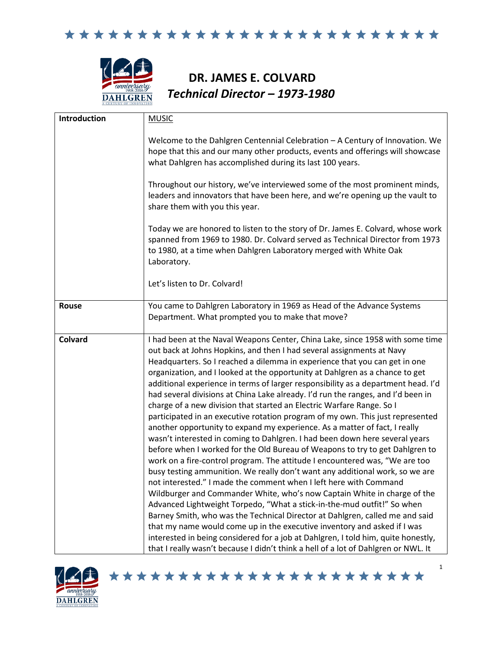\*\*\*\*\*\*\*\*\*\*\*\*\*\*\*\*\*\*\*\*\*\*\*\*\*\*



## **DR. JAMES E. COLVARD** *Technical Director – 1973-1980*

| Introduction   | <b>MUSIC</b>                                                                                                                                                                                                                                                                                                                                                                                                                                                                                                                                                                                                                                                                                                                                                                                                                                                                                                                                                                                                                                                                                                                                                                                                                                                                                                                                                                                                                                                                                                                                                                                                                            |
|----------------|-----------------------------------------------------------------------------------------------------------------------------------------------------------------------------------------------------------------------------------------------------------------------------------------------------------------------------------------------------------------------------------------------------------------------------------------------------------------------------------------------------------------------------------------------------------------------------------------------------------------------------------------------------------------------------------------------------------------------------------------------------------------------------------------------------------------------------------------------------------------------------------------------------------------------------------------------------------------------------------------------------------------------------------------------------------------------------------------------------------------------------------------------------------------------------------------------------------------------------------------------------------------------------------------------------------------------------------------------------------------------------------------------------------------------------------------------------------------------------------------------------------------------------------------------------------------------------------------------------------------------------------------|
|                | Welcome to the Dahlgren Centennial Celebration - A Century of Innovation. We<br>hope that this and our many other products, events and offerings will showcase<br>what Dahlgren has accomplished during its last 100 years.                                                                                                                                                                                                                                                                                                                                                                                                                                                                                                                                                                                                                                                                                                                                                                                                                                                                                                                                                                                                                                                                                                                                                                                                                                                                                                                                                                                                             |
|                | Throughout our history, we've interviewed some of the most prominent minds,<br>leaders and innovators that have been here, and we're opening up the vault to<br>share them with you this year.                                                                                                                                                                                                                                                                                                                                                                                                                                                                                                                                                                                                                                                                                                                                                                                                                                                                                                                                                                                                                                                                                                                                                                                                                                                                                                                                                                                                                                          |
|                | Today we are honored to listen to the story of Dr. James E. Colvard, whose work<br>spanned from 1969 to 1980. Dr. Colvard served as Technical Director from 1973<br>to 1980, at a time when Dahlgren Laboratory merged with White Oak<br>Laboratory.                                                                                                                                                                                                                                                                                                                                                                                                                                                                                                                                                                                                                                                                                                                                                                                                                                                                                                                                                                                                                                                                                                                                                                                                                                                                                                                                                                                    |
|                | Let's listen to Dr. Colvard!                                                                                                                                                                                                                                                                                                                                                                                                                                                                                                                                                                                                                                                                                                                                                                                                                                                                                                                                                                                                                                                                                                                                                                                                                                                                                                                                                                                                                                                                                                                                                                                                            |
| Rouse          | You came to Dahlgren Laboratory in 1969 as Head of the Advance Systems<br>Department. What prompted you to make that move?                                                                                                                                                                                                                                                                                                                                                                                                                                                                                                                                                                                                                                                                                                                                                                                                                                                                                                                                                                                                                                                                                                                                                                                                                                                                                                                                                                                                                                                                                                              |
| <b>Colvard</b> | I had been at the Naval Weapons Center, China Lake, since 1958 with some time<br>out back at Johns Hopkins, and then I had several assignments at Navy<br>Headquarters. So I reached a dilemma in experience that you can get in one<br>organization, and I looked at the opportunity at Dahlgren as a chance to get<br>additional experience in terms of larger responsibility as a department head. I'd<br>had several divisions at China Lake already. I'd run the ranges, and I'd been in<br>charge of a new division that started an Electric Warfare Range. So I<br>participated in an executive rotation program of my own. This just represented<br>another opportunity to expand my experience. As a matter of fact, I really<br>wasn't interested in coming to Dahlgren. I had been down here several years<br>before when I worked for the Old Bureau of Weapons to try to get Dahlgren to<br>work on a fire-control program. The attitude I encountered was, "We are too<br>busy testing ammunition. We really don't want any additional work, so we are<br>not interested." I made the comment when I left here with Command<br>Wildburger and Commander White, who's now Captain White in charge of the<br>Advanced Lightweight Torpedo, "What a stick-in-the-mud outfit!" So when<br>Barney Smith, who was the Technical Director at Dahlgren, called me and said<br>that my name would come up in the executive inventory and asked if I was<br>interested in being considered for a job at Dahlgren, I told him, quite honestly,<br>that I really wasn't because I didn't think a hell of a lot of Dahlgren or NWL. It |

\*\*\*\*\*\*\*\*\*\*\*\*\*\*\*\*\*\*\*\*\*\*\*

1

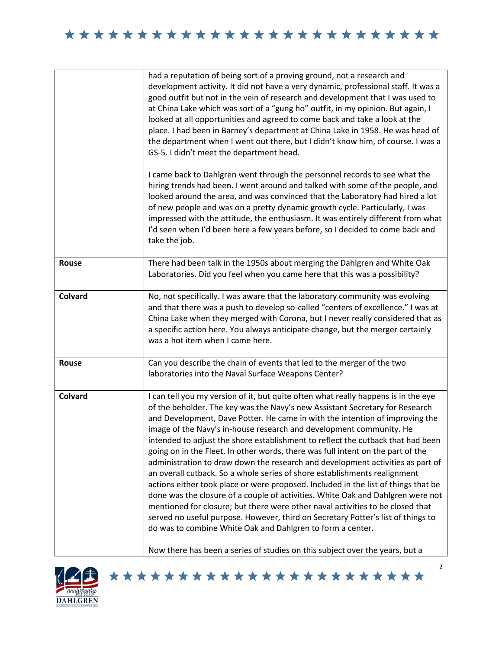\*\*\*\*\*\*\*\*\*\*\*\*\*\*\*\*\*\*\*\*\*\*\*\*\*\*

|                | had a reputation of being sort of a proving ground, not a research and<br>development activity. It did not have a very dynamic, professional staff. It was a<br>good outfit but not in the vein of research and development that I was used to<br>at China Lake which was sort of a "gung ho" outfit, in my opinion. But again, I<br>looked at all opportunities and agreed to come back and take a look at the<br>place. I had been in Barney's department at China Lake in 1958. He was head of<br>the department when I went out there, but I didn't know him, of course. I was a<br>GS-5. I didn't meet the department head.                                                                                                                                                                                                                                                                                                                                                                                                                                                                                                                            |
|----------------|-------------------------------------------------------------------------------------------------------------------------------------------------------------------------------------------------------------------------------------------------------------------------------------------------------------------------------------------------------------------------------------------------------------------------------------------------------------------------------------------------------------------------------------------------------------------------------------------------------------------------------------------------------------------------------------------------------------------------------------------------------------------------------------------------------------------------------------------------------------------------------------------------------------------------------------------------------------------------------------------------------------------------------------------------------------------------------------------------------------------------------------------------------------|
|                | I came back to Dahlgren went through the personnel records to see what the<br>hiring trends had been. I went around and talked with some of the people, and<br>looked around the area, and was convinced that the Laboratory had hired a lot<br>of new people and was on a pretty dynamic growth cycle. Particularly, I was<br>impressed with the attitude, the enthusiasm. It was entirely different from what<br>I'd seen when I'd been here a few years before, so I decided to come back and<br>take the job.                                                                                                                                                                                                                                                                                                                                                                                                                                                                                                                                                                                                                                           |
| <b>Rouse</b>   | There had been talk in the 1950s about merging the Dahlgren and White Oak<br>Laboratories. Did you feel when you came here that this was a possibility?                                                                                                                                                                                                                                                                                                                                                                                                                                                                                                                                                                                                                                                                                                                                                                                                                                                                                                                                                                                                     |
| <b>Colvard</b> | No, not specifically. I was aware that the laboratory community was evolving<br>and that there was a push to develop so-called "centers of excellence." I was at<br>China Lake when they merged with Corona, but I never really considered that as<br>a specific action here. You always anticipate change, but the merger certainly<br>was a hot item when I came here.                                                                                                                                                                                                                                                                                                                                                                                                                                                                                                                                                                                                                                                                                                                                                                                    |
| Rouse          | Can you describe the chain of events that led to the merger of the two<br>laboratories into the Naval Surface Weapons Center?                                                                                                                                                                                                                                                                                                                                                                                                                                                                                                                                                                                                                                                                                                                                                                                                                                                                                                                                                                                                                               |
| Colvard        | I can tell you my version of it, but quite often what really happens is in the eye<br>of the beholder. The key was the Navy's new Assistant Secretary for Research<br>and Development, Dave Potter. He came in with the intention of improving the<br>image of the Navy's in-house research and development community. He<br>intended to adjust the shore establishment to reflect the cutback that had been<br>going on in the Fleet. In other words, there was full intent on the part of the<br>administration to draw down the research and development activities as part of<br>an overall cutback. So a whole series of shore establishments realignment<br>actions either took place or were proposed. Included in the list of things that be<br>done was the closure of a couple of activities. White Oak and Dahlgren were not<br>mentioned for closure; but there were other naval activities to be closed that<br>served no useful purpose. However, third on Secretary Potter's list of things to<br>do was to combine White Oak and Dahlgren to form a center.<br>Now there has been a series of studies on this subject over the years, but a |

\*\*\*\*\*\*\*\*\*\*\*\*\*\*\*\*\*\*\*\*\*\*\*

2

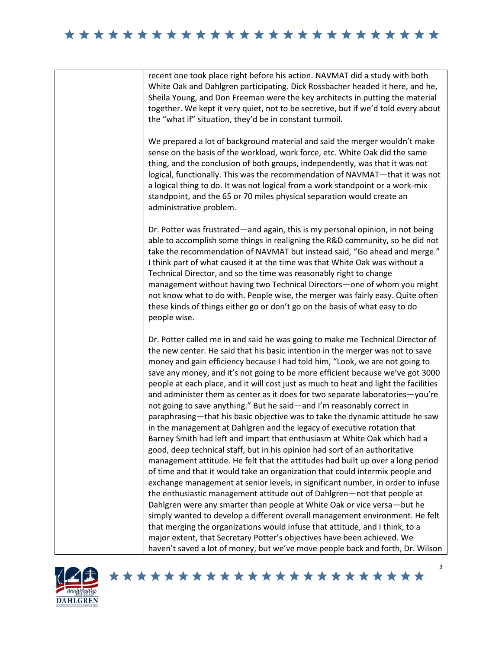## 

recent one took place right before his action. NAVMAT did a study with both White Oak and Dahlgren participating. Dick Rossbacher headed it here, and he, Sheila Young, and Don Freeman were the key architects in putting the material together. We kept it very quiet, not to be secretive, but if we'd told every about the "what if" situation, they'd be in constant turmoil.

We prepared a lot of background material and said the merger wouldn't make sense on the basis of the workload, work force, etc. White Oak did the same thing, and the conclusion of both groups, independently, was that it was not logical, functionally. This was the recommendation of NAVMAT—that it was not a logical thing to do. It was not logical from a work standpoint or a work-mix standpoint, and the 65 or 70 miles physical separation would create an administrative problem.

Dr. Potter was frustrated—and again, this is my personal opinion, in not being able to accomplish some things in realigning the R&D community, so he did not take the recommendation of NAVMAT but instead said, "Go ahead and merge." I think part of what caused it at the time was that White Oak was without a Technical Director, and so the time was reasonably right to change management without having two Technical Directors—one of whom you might not know what to do with. People wise, the merger was fairly easy. Quite often these kinds of things either go or don't go on the basis of what easy to do people wise.

Dr. Potter called me in and said he was going to make me Technical Director of the new center. He said that his basic intention in the merger was not to save money and gain efficiency because I had told him, "Look, we are not going to save any money, and it's not going to be more efficient because we've got 3000 people at each place, and it will cost just as much to heat and light the facilities and administer them as center as it does for two separate laboratories—you're not going to save anything." But he said—and I'm reasonably correct in paraphrasing—that his basic objective was to take the dynamic attitude he saw in the management at Dahlgren and the legacy of executive rotation that Barney Smith had left and impart that enthusiasm at White Oak which had a good, deep technical staff, but in his opinion had sort of an authoritative management attitude. He felt that the attitudes had built up over a long period of time and that it would take an organization that could intermix people and exchange management at senior levels, in significant number, in order to infuse the enthusiastic management attitude out of Dahlgren—not that people at Dahlgren were any smarter than people at White Oak or vice versa—but he simply wanted to develop a different overall management environment. He felt that merging the organizations would infuse that attitude, and I think, to a major extent, that Secretary Potter's objectives have been achieved. We haven't saved a lot of money, but we've move people back and forth, Dr. Wilson



## \*\*\*\*\*\*\*\*\*\*\*\*\*\*\*\*\*\*\*\*\*\*\*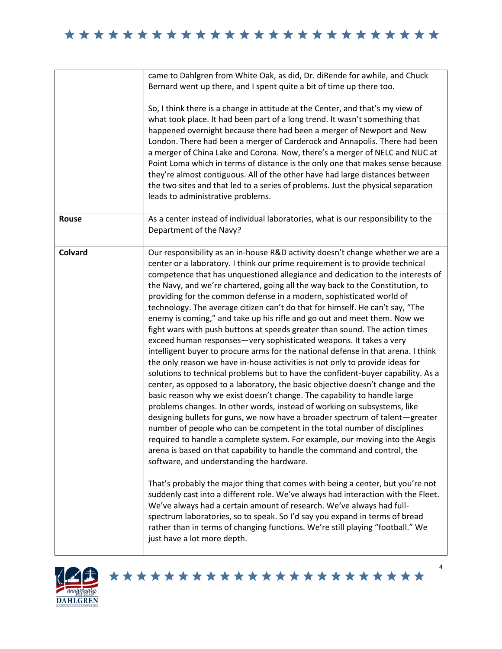\*\*\*\*\*\*\*\*\*\*\*\*\*\*\*\*\*\*\*\*\*\*\*\*\*

|         | came to Dahlgren from White Oak, as did, Dr. diRende for awhile, and Chuck<br>Bernard went up there, and I spent quite a bit of time up there too.                                                                                                                                                                                                                                                                                                                                                                                                                                                                                                                                                                                                                                                                                                                                                                                                                                                                                                                                                                                                                                                                                                                                                                                                                                                                                                                                                                                                                                                   |
|---------|------------------------------------------------------------------------------------------------------------------------------------------------------------------------------------------------------------------------------------------------------------------------------------------------------------------------------------------------------------------------------------------------------------------------------------------------------------------------------------------------------------------------------------------------------------------------------------------------------------------------------------------------------------------------------------------------------------------------------------------------------------------------------------------------------------------------------------------------------------------------------------------------------------------------------------------------------------------------------------------------------------------------------------------------------------------------------------------------------------------------------------------------------------------------------------------------------------------------------------------------------------------------------------------------------------------------------------------------------------------------------------------------------------------------------------------------------------------------------------------------------------------------------------------------------------------------------------------------------|
|         | So, I think there is a change in attitude at the Center, and that's my view of<br>what took place. It had been part of a long trend. It wasn't something that<br>happened overnight because there had been a merger of Newport and New<br>London. There had been a merger of Carderock and Annapolis. There had been<br>a merger of China Lake and Corona. Now, there's a merger of NELC and NUC at<br>Point Loma which in terms of distance is the only one that makes sense because<br>they're almost contiguous. All of the other have had large distances between<br>the two sites and that led to a series of problems. Just the physical separation<br>leads to administrative problems.                                                                                                                                                                                                                                                                                                                                                                                                                                                                                                                                                                                                                                                                                                                                                                                                                                                                                                       |
| Rouse   | As a center instead of individual laboratories, what is our responsibility to the<br>Department of the Navy?                                                                                                                                                                                                                                                                                                                                                                                                                                                                                                                                                                                                                                                                                                                                                                                                                                                                                                                                                                                                                                                                                                                                                                                                                                                                                                                                                                                                                                                                                         |
| Colvard | Our responsibility as an in-house R&D activity doesn't change whether we are a<br>center or a laboratory. I think our prime requirement is to provide technical<br>competence that has unquestioned allegiance and dedication to the interests of<br>the Navy, and we're chartered, going all the way back to the Constitution, to<br>providing for the common defense in a modern, sophisticated world of<br>technology. The average citizen can't do that for himself. He can't say, "The<br>enemy is coming," and take up his rifle and go out and meet them. Now we<br>fight wars with push buttons at speeds greater than sound. The action times<br>exceed human responses-very sophisticated weapons. It takes a very<br>intelligent buyer to procure arms for the national defense in that arena. I think<br>the only reason we have in-house activities is not only to provide ideas for<br>solutions to technical problems but to have the confident-buyer capability. As a<br>center, as opposed to a laboratory, the basic objective doesn't change and the<br>basic reason why we exist doesn't change. The capability to handle large<br>problems changes. In other words, instead of working on subsystems, like<br>designing bullets for guns, we now have a broader spectrum of talent-greater<br>number of people who can be competent in the total number of disciplines<br>required to handle a complete system. For example, our moving into the Aegis<br>arena is based on that capability to handle the command and control, the<br>software, and understanding the hardware. |
|         | That's probably the major thing that comes with being a center, but you're not<br>suddenly cast into a different role. We've always had interaction with the Fleet.<br>We've always had a certain amount of research. We've always had full-<br>spectrum laboratories, so to speak. So I'd say you expand in terms of bread<br>rather than in terms of changing functions. We're still playing "football." We<br>just have a lot more depth.                                                                                                                                                                                                                                                                                                                                                                                                                                                                                                                                                                                                                                                                                                                                                                                                                                                                                                                                                                                                                                                                                                                                                         |

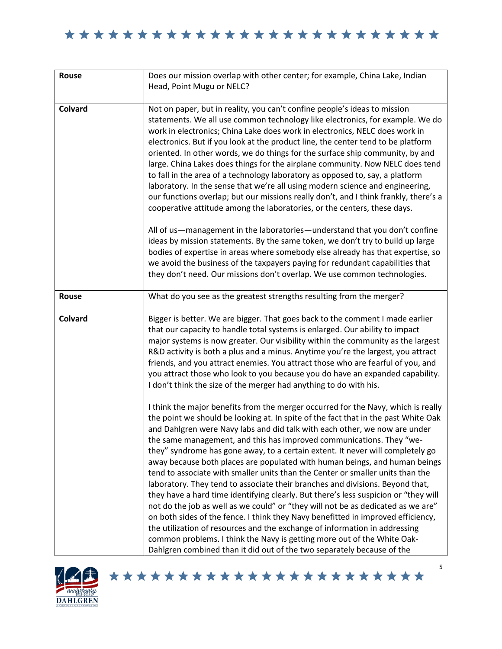\*\*\*\*\*\*\*\*\*\*\*\*\*\*\*\*\*\*\*\*\*\*\*\*\*

| Rouse          | Does our mission overlap with other center; for example, China Lake, Indian                                                                                                                                                                                                                                                                                                                                                                                                                                                                                                                                                                                                                                                                                                                                                                                                                                                                                                                                                                                                                                                                                                                                                                                                                                                                                                                                                                                                                                                                                                                                                                                                                                                                          |
|----------------|------------------------------------------------------------------------------------------------------------------------------------------------------------------------------------------------------------------------------------------------------------------------------------------------------------------------------------------------------------------------------------------------------------------------------------------------------------------------------------------------------------------------------------------------------------------------------------------------------------------------------------------------------------------------------------------------------------------------------------------------------------------------------------------------------------------------------------------------------------------------------------------------------------------------------------------------------------------------------------------------------------------------------------------------------------------------------------------------------------------------------------------------------------------------------------------------------------------------------------------------------------------------------------------------------------------------------------------------------------------------------------------------------------------------------------------------------------------------------------------------------------------------------------------------------------------------------------------------------------------------------------------------------------------------------------------------------------------------------------------------------|
|                | Head, Point Mugu or NELC?                                                                                                                                                                                                                                                                                                                                                                                                                                                                                                                                                                                                                                                                                                                                                                                                                                                                                                                                                                                                                                                                                                                                                                                                                                                                                                                                                                                                                                                                                                                                                                                                                                                                                                                            |
|                |                                                                                                                                                                                                                                                                                                                                                                                                                                                                                                                                                                                                                                                                                                                                                                                                                                                                                                                                                                                                                                                                                                                                                                                                                                                                                                                                                                                                                                                                                                                                                                                                                                                                                                                                                      |
| Colvard        | Not on paper, but in reality, you can't confine people's ideas to mission<br>statements. We all use common technology like electronics, for example. We do<br>work in electronics; China Lake does work in electronics, NELC does work in<br>electronics. But if you look at the product line, the center tend to be platform<br>oriented. In other words, we do things for the surface ship community, by and<br>large. China Lakes does things for the airplane community. Now NELC does tend<br>to fall in the area of a technology laboratory as opposed to, say, a platform<br>laboratory. In the sense that we're all using modern science and engineering,<br>our functions overlap; but our missions really don't, and I think frankly, there's a<br>cooperative attitude among the laboratories, or the centers, these days.<br>All of us-management in the laboratories-understand that you don't confine<br>ideas by mission statements. By the same token, we don't try to build up large<br>bodies of expertise in areas where somebody else already has that expertise, so<br>we avoid the business of the taxpayers paying for redundant capabilities that<br>they don't need. Our missions don't overlap. We use common technologies.                                                                                                                                                                                                                                                                                                                                                                                                                                                                                                |
|                |                                                                                                                                                                                                                                                                                                                                                                                                                                                                                                                                                                                                                                                                                                                                                                                                                                                                                                                                                                                                                                                                                                                                                                                                                                                                                                                                                                                                                                                                                                                                                                                                                                                                                                                                                      |
| <b>Rouse</b>   | What do you see as the greatest strengths resulting from the merger?                                                                                                                                                                                                                                                                                                                                                                                                                                                                                                                                                                                                                                                                                                                                                                                                                                                                                                                                                                                                                                                                                                                                                                                                                                                                                                                                                                                                                                                                                                                                                                                                                                                                                 |
| <b>Colvard</b> | Bigger is better. We are bigger. That goes back to the comment I made earlier<br>that our capacity to handle total systems is enlarged. Our ability to impact<br>major systems is now greater. Our visibility within the community as the largest<br>R&D activity is both a plus and a minus. Anytime you're the largest, you attract<br>friends, and you attract enemies. You attract those who are fearful of you, and<br>you attract those who look to you because you do have an expanded capability.<br>I don't think the size of the merger had anything to do with his.<br>I think the major benefits from the merger occurred for the Navy, which is really<br>the point we should be looking at. In spite of the fact that in the past White Oak<br>and Dahlgren were Navy labs and did talk with each other, we now are under<br>the same management, and this has improved communications. They "we-<br>they" syndrome has gone away, to a certain extent. It never will completely go<br>away because both places are populated with human beings, and human beings<br>tend to associate with smaller units than the Center or smaller units than the<br>laboratory. They tend to associate their branches and divisions. Beyond that,<br>they have a hard time identifying clearly. But there's less suspicion or "they will<br>not do the job as well as we could" or "they will not be as dedicated as we are"<br>on both sides of the fence. I think they Navy benefitted in improved efficiency,<br>the utilization of resources and the exchange of information in addressing<br>common problems. I think the Navy is getting more out of the White Oak-<br>Dahlgren combined than it did out of the two separately because of the |

\*\*\*\*\*\*\*\*\*\*\*\*\*\*\*\*\*\*\*\*\*\*\*

5

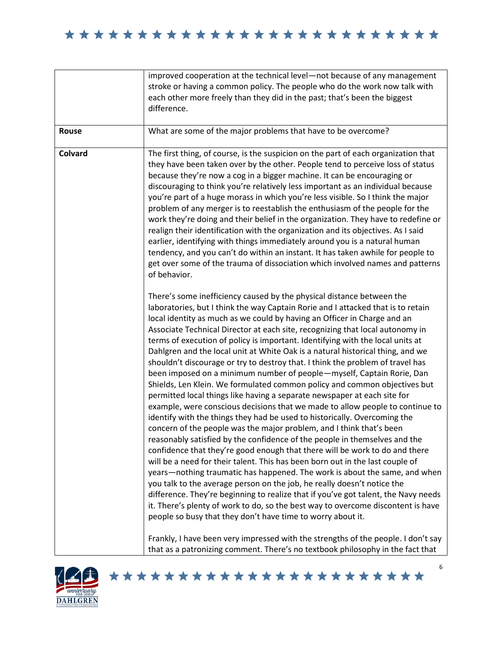## \*\*\*\*\*\*\*\*\*\*\*\*\*\*\*\*\*\*\*\*\*\*\*\*\*\*

|         | improved cooperation at the technical level-not because of any management<br>stroke or having a common policy. The people who do the work now talk with<br>each other more freely than they did in the past; that's been the biggest<br>difference.                                                                                                                                                                                                                                                                                                                                                                                                                                                                                                                                                                                                                                                                                                                                                                                                                                                                                                                                                                                                                                                                                                                                                                                                                                                                                                                                                                                                                                                                                                                                                                                                                         |
|---------|-----------------------------------------------------------------------------------------------------------------------------------------------------------------------------------------------------------------------------------------------------------------------------------------------------------------------------------------------------------------------------------------------------------------------------------------------------------------------------------------------------------------------------------------------------------------------------------------------------------------------------------------------------------------------------------------------------------------------------------------------------------------------------------------------------------------------------------------------------------------------------------------------------------------------------------------------------------------------------------------------------------------------------------------------------------------------------------------------------------------------------------------------------------------------------------------------------------------------------------------------------------------------------------------------------------------------------------------------------------------------------------------------------------------------------------------------------------------------------------------------------------------------------------------------------------------------------------------------------------------------------------------------------------------------------------------------------------------------------------------------------------------------------------------------------------------------------------------------------------------------------|
| Rouse   | What are some of the major problems that have to be overcome?                                                                                                                                                                                                                                                                                                                                                                                                                                                                                                                                                                                                                                                                                                                                                                                                                                                                                                                                                                                                                                                                                                                                                                                                                                                                                                                                                                                                                                                                                                                                                                                                                                                                                                                                                                                                               |
| Colvard | The first thing, of course, is the suspicion on the part of each organization that<br>they have been taken over by the other. People tend to perceive loss of status<br>because they're now a cog in a bigger machine. It can be encouraging or<br>discouraging to think you're relatively less important as an individual because<br>you're part of a huge morass in which you're less visible. So I think the major<br>problem of any merger is to reestablish the enthusiasm of the people for the<br>work they're doing and their belief in the organization. They have to redefine or<br>realign their identification with the organization and its objectives. As I said<br>earlier, identifying with things immediately around you is a natural human<br>tendency, and you can't do within an instant. It has taken awhile for people to<br>get over some of the trauma of dissociation which involved names and patterns<br>of behavior.                                                                                                                                                                                                                                                                                                                                                                                                                                                                                                                                                                                                                                                                                                                                                                                                                                                                                                                            |
|         | There's some inefficiency caused by the physical distance between the<br>laboratories, but I think the way Captain Rorie and I attacked that is to retain<br>local identity as much as we could by having an Officer in Charge and an<br>Associate Technical Director at each site, recognizing that local autonomy in<br>terms of execution of policy is important. Identifying with the local units at<br>Dahlgren and the local unit at White Oak is a natural historical thing, and we<br>shouldn't discourage or try to destroy that. I think the problem of travel has<br>been imposed on a minimum number of people-myself, Captain Rorie, Dan<br>Shields, Len Klein. We formulated common policy and common objectives but<br>permitted local things like having a separate newspaper at each site for<br>example, were conscious decisions that we made to allow people to continue to<br>identify with the things they had be used to historically. Overcoming the<br>concern of the people was the major problem, and I think that's been<br>reasonably satisfied by the confidence of the people in themselves and the<br>confidence that they're good enough that there will be work to do and there<br>will be a need for their talent. This has been born out in the last couple of<br>years-nothing traumatic has happened. The work is about the same, and when<br>you talk to the average person on the job, he really doesn't notice the<br>difference. They're beginning to realize that if you've got talent, the Navy needs<br>it. There's plenty of work to do, so the best way to overcome discontent is have<br>people so busy that they don't have time to worry about it.<br>Frankly, I have been very impressed with the strengths of the people. I don't say<br>that as a patronizing comment. There's no textbook philosophy in the fact that |